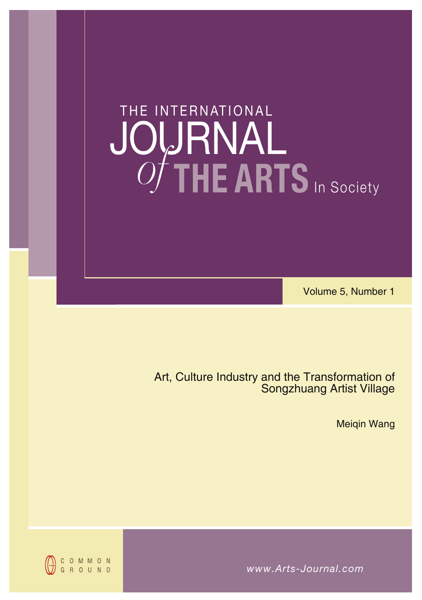# **THE ARTS** In Society JOURNAL THE INTERNATIONAL *of*

Volume 5, Number 1

Art, Culture Industry and the Transformation of Songzhuang Artist Village

Meiqin Wang

*www.Arts-Journal.com*

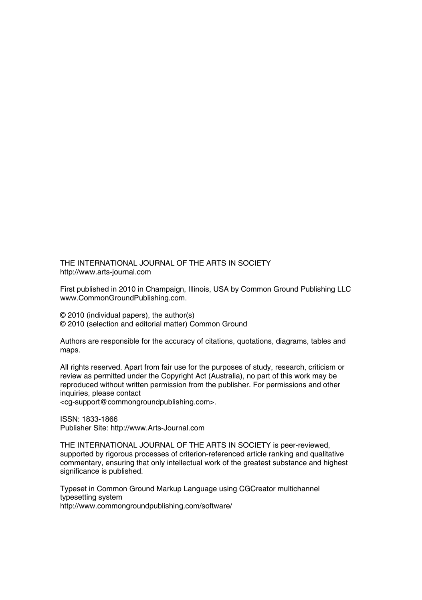THE INTERNATIONAL JOURNAL OF THE ARTS IN SOCIETY http://www.arts-journal.com

First published in 2010 in Champaign, Illinois, USA by Common Ground Publishing LLC www.CommonGroundPublishing.com.

© 2010 (individual papers), the author(s) © 2010 (selection and editorial matter) Common Ground

Authors are responsible for the accuracy of citations, quotations, diagrams, tables and maps.

All rights reserved. Apart from fair use for the purposes of study, research, criticism or review as permitted under the Copyright Act (Australia), no part of this work may be reproduced without written permission from the publisher. For permissions and other inquiries, please contact

<cg-support@commongroundpublishing.com>.

ISSN: 1833-1866 Publisher Site: http://www.Arts-Journal.com

THE INTERNATIONAL JOURNAL OF THE ARTS IN SOCIETY is peer-reviewed, supported by rigorous processes of criterion-referenced article ranking and qualitative commentary, ensuring that only intellectual work of the greatest substance and highest significance is published.

Typeset in Common Ground Markup Language using CGCreator multichannel typesetting system http://www.commongroundpublishing.com/software/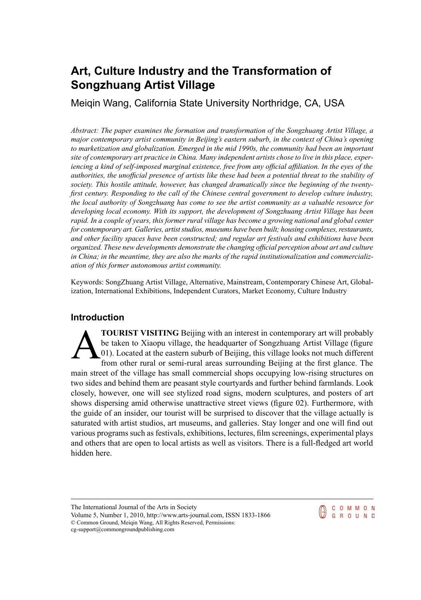# **Art, Culture Industry and the Transformation of Songzhuang Artist Village**

Meiqin Wang, California State University Northridge, CA, USA

*Abstract: The paper examines the formation and transformation of the Songzhuang Artist Village, a major contemporary artist community in Beijing's eastern suburb, in the context of China's opening to marketization and globalization. Emerged in the mid 1990s, the community had been an important site of contemporary art practice in China. Many independent artists chose to live in this place, experiencing a kind of self-imposed marginal existence, free from any official affiliation. In the eyes of the* authorities, the unofficial presence of artists like these had been a potential threat to the stability of *society. This hostile attitude, however, has changed dramatically since the beginning of the twentyfirst century. Responding to the call of the Chinese central government to develop culture industry, the local authority of Songzhuang has come to see the artist community as a valuable resource for developing local economy. With its support, the development of Songzhuang Artist Village has been* rapid. In a couple of years, this former rural village has become a growing national and global center *for contemporary art. Galleries, artiststudios, museums have been built; housing complexes,restaurants, and other facility spaces have been constructed; and regular art festivals and exhibitions have been organized. These new developments demonstrate the changing official perception about art and culture in China; in the meantime, they are also the marks of the rapid institutionalization and commercialization of this former autonomous artist community.*

Keywords: SongZhuang Artist Village, Alternative, Mainstream, Contemporary Chinese Art, Globalization, International Exhibitions, Independent Curators, Market Economy, Culture Industry

# **Introduction**

A **TOURIST VISITING** Beijing with an interest in contemporary art will probably be taken to Xiaopu village, the headquarter of Songzhuang Artist Village (figure 01). Located at the eastern suburb of Beijing, this village looks not much different from other rural or semi-rural areas surrounding Beijing at the first glance. The main street of the village has small commercial shops occupying low-rising structures on two sides and behind them are peasant style courtyards and further behind farmlands. Look closely, however, one will see stylized road signs, modern sculptures, and posters of art shows dispersing amid otherwise unattractive street views (figure 02). Furthermore, with the guide of an insider, our tourist will be surprised to discover that the village actually is saturated with artist studios, art museums, and galleries. Stay longer and one will find out various programs such as festivals, exhibitions, lectures,film screenings, experimental plays and others that are open to local artists as well as visitors. There is a full-fledged art world hidden here.

The International Journal of the Arts in Society



Volume 5, Number 1, 2010, http://www.arts-journal.com, ISSN 1833-1866 © Common Ground, Meiqin Wang, All Rights Reserved, Permissions: cg-support@commongroundpublishing.com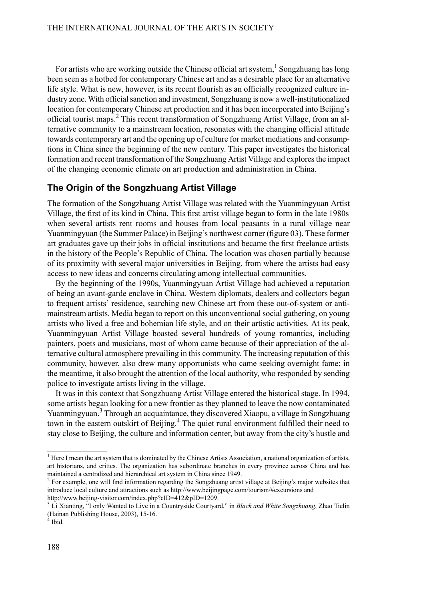For artists who are working outside the Chinese official art system,  $^1$  Songzhuang has long been seen as a hotbed for contemporary Chinese art and as a desirable place for an alternative life style. What is new, however, is its recent flourish as an officially recognized culture industry zone. With official sanction and investment, Songzhuang is now a well-institutionalized location for contemporary Chinese art production and it has been incorporated into Beijing's official tourist maps.<sup>2</sup> This recent transformation of Songzhuang Artist Village, from an alternative community to a mainstream location, resonates with the changing official attitude towards contemporary art and the opening up of culture for market mediations and consumptions in China since the beginning of the new century. This paper investigates the historical formation and recent transformation of the Songzhuang Artist Village and explores the impact of the changing economic climate on art production and administration in China.

#### **The Origin of the Songzhuang Artist Village**

The formation of the Songzhuang Artist Village was related with the Yuanmingyuan Artist Village, the first of its kind in China. This first artist village began to form in the late 1980s when several artists rent rooms and houses from local peasants in a rural village near Yuanmingyuan (the Summer Palace) in Beijing's northwest corner (figure 03). These former art graduates gave up their jobs in official institutions and became the first freelance artists in the history of the People's Republic of China. The location was chosen partially because of its proximity with several major universities in Beijing, from where the artists had easy access to new ideas and concerns circulating among intellectual communities.

By the beginning of the 1990s, Yuanmingyuan Artist Village had achieved a reputation of being an avant-garde enclave in China. Western diplomats, dealers and collectors began to frequent artists' residence, searching new Chinese art from these out-of-system or antimainstream artists. Media began to report on this unconventional social gathering, on young artists who lived a free and bohemian life style, and on their artistic activities. At its peak, Yuanmingyuan Artist Village boasted several hundreds of young romantics, including painters, poets and musicians, most of whom came because of their appreciation of the alternative cultural atmosphere prevailing in this community. The increasing reputation of this community, however, also drew many opportunists who came seeking overnight fame; in the meantime, it also brought the attention of the local authority, who responded by sending police to investigate artists living in the village.

It was in this context that Songzhuang Artist Village entered the historical stage. In 1994, some artists began looking for a new frontier as they planned to leave the now contaminated Yuanmingyuan.<sup>3</sup> Through an acquaintance, they discovered Xiaopu, a village in Songzhuang town in the eastern outskirt of Beijing.<sup>4</sup> The quiet rural environment fulfilled their need to stay close to Beijing, the culture and information center, but away from the city's hustle and

 $<sup>1</sup>$  Here I mean the art system that is dominated by the Chinese Artists Association, a national organization of artists,</sup> art historians, and critics. The organization has subordinate branches in every province across China and has maintained a centralized and hierarchical art system in China since 1949.

 $2^{2}$  For example, one will find information regarding the Songzhuang artist village at Beijing's major websites that introduce local culture and attractions such as http://www.beijingpage.com/tourism/#excursions and http://www.beijing-visitor.com/index.php?cID=412&pID=1209.

<sup>3</sup> Li Xianting, "I only Wanted to Live in a Countryside Courtyard," in *Black and White Songzhuang*, Zhao Tielin (Hainan Publishing House, 2003), 15-16.

<sup>4</sup> Ibid.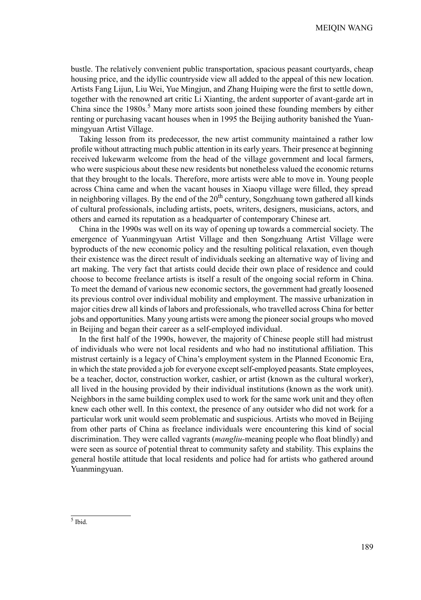bustle. The relatively convenient public transportation, spacious peasant courtyards, cheap housing price, and the idyllic countryside view all added to the appeal of this new location. Artists Fang Lijun, Liu Wei, Yue Mingjun, and Zhang Huiping were the first to settle down, together with the renowned art critic Li Xianting, the ardent supporter of avant-garde art in China since the  $1980s$ .<sup>5</sup> Many more artists soon joined these founding members by either renting or purchasing vacant houses when in 1995 the Beijing authority banished the Yuanmingyuan Artist Village.

Taking lesson from its predecessor, the new artist community maintained a rather low profile without attracting much public attention in its early years. Their presence at beginning received lukewarm welcome from the head of the village government and local farmers, who were suspicious about these new residents but nonetheless valued the economic returns that they brought to the locals. Therefore, more artists were able to move in. Young people across China came and when the vacant houses in Xiaopu village were filled, they spread in neighboring villages. By the end of the  $20<sup>th</sup>$  century, Songzhuang town gathered all kinds of cultural professionals, including artists, poets, writers, designers, musicians, actors, and others and earned its reputation as a headquarter of contemporary Chinese art.

China in the 1990s was well on its way of opening up towards a commercial society. The emergence of Yuanmingyuan Artist Village and then Songzhuang Artist Village were byproducts of the new economic policy and the resulting political relaxation, even though their existence was the direct result of individuals seeking an alternative way of living and art making. The very fact that artists could decide their own place of residence and could choose to become freelance artists is itself a result of the ongoing social reform in China. To meet the demand of various new economic sectors, the government had greatly loosened its previous control over individual mobility and employment. The massive urbanization in major cities drew all kinds of labors and professionals, who travelled across China for better jobs and opportunities. Many young artists were among the pioneersocial groups who moved in Beijing and began their career as a self-employed individual.

In the first half of the 1990s, however, the majority of Chinese people still had mistrust of individuals who were not local residents and who had no institutional affiliation. This mistrust certainly is a legacy of China's employment system in the Planned Economic Era, in which the state provided a job for everyone except self-employed peasants. State employees, be a teacher, doctor, construction worker, cashier, or artist (known as the cultural worker), all lived in the housing provided by their individual institutions (known as the work unit). Neighbors in the same building complex used to work for the same work unit and they often knew each other well. In this context, the presence of any outsider who did not work for a particular work unit would seem problematic and suspicious. Artists who moved in Beijing from other parts of China as freelance individuals were encountering this kind of social discrimination. They were called vagrants (*mangliu-*meaning people who float blindly) and were seen as source of potential threat to community safety and stability. This explains the general hostile attitude that local residents and police had for artists who gathered around Yuanmingyuan.

<sup>5</sup> Ibid.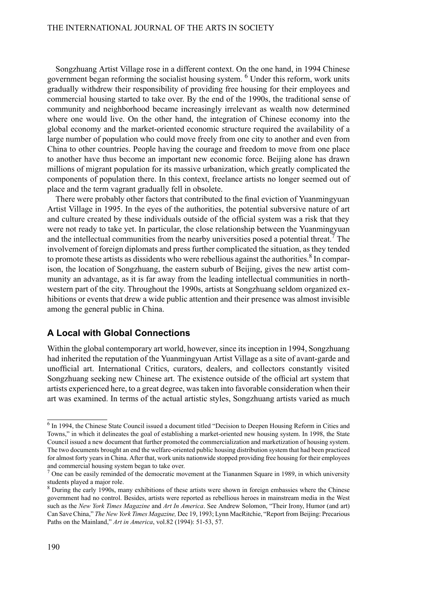Songzhuang Artist Village rose in a different context. On the one hand, in 1994 Chinese government began reforming the socialist housing system. <sup>6</sup> Under this reform, work units gradually withdrew their responsibility of providing free housing for their employees and commercial housing started to take over. By the end of the 1990s, the traditional sense of community and neighborhood became increasingly irrelevant as wealth now determined where one would live. On the other hand, the integration of Chinese economy into the global economy and the market-oriented economic structure required the availability of a large number of population who could move freely from one city to another and even from China to other countries. People having the courage and freedom to move from one place to another have thus become an important new economic force. Beijing alone has drawn millions of migrant population for its massive urbanization, which greatly complicated the components of population there. In this context, freelance artists no longer seemed out of place and the term vagrant gradually fell in obsolete.

There were probably other factors that contributed to the final eviction of Yuanmingyuan Artist Village in 1995. In the eyes of the authorities, the potential subversive nature of art and culture created by these individuals outside of the official system was a risk that they were not ready to take yet. In particular, the close relationship between the Yuanmingyuan and the intellectual communities from the nearby universities posed a potential threat.<sup>7</sup> The involvement of foreign diplomats and press further complicated the situation, as they tended to promote these artists as dissidents who were rebellious against the authorities. $8 \text{ In comparison}$ ison, the location of Songzhuang, the eastern suburb of Beijing, gives the new artist community an advantage, as it is far away from the leading intellectual communities in northwestern part of the city. Throughout the 1990s, artists at Songzhuang seldom organized exhibitions or events that drew a wide public attention and their presence was almost invisible among the general public in China.

#### **A Local with Global Connections**

Within the global contemporary art world, however, since its inception in 1994, Songzhuang had inherited the reputation of the Yuanmingyuan Artist Village as a site of avant-garde and unofficial art. International Critics, curators, dealers, and collectors constantly visited Songzhuang seeking new Chinese art. The existence outside of the official art system that artists experienced here, to a great degree, was taken into favorable consideration when their art was examined. In terms of the actual artistic styles, Songzhuang artists varied as much

<sup>&</sup>lt;sup>6</sup> In 1994, the Chinese State Council issued a document titled "Decision to Deepen Housing Reform in Cities and Towns," in which it delineates the goal of establishing a market-oriented new housing system. In 1998, the State Council issued a new document that further promoted the commercialization and marketization of housing system. The two documents brought an end the welfare-oriented public housing distribution system that had been practiced for almost forty yearsin China. After that, work units nationwide stopped providing free housing for their employees and commercial housing system began to take over.

 $<sup>7</sup>$  One can be easily reminded of the democratic movement at the Tiananmen Square in 1989, in which university</sup> students played a major role.

<sup>&</sup>lt;sup>8</sup> During the early 1990s, many exhibitions of these artists were shown in foreign embassies where the Chinese government had no control. Besides, artists were reported as rebellious heroes in mainstream media in the West such as the *New York Times Magazine* and *Art In America*. See Andrew Solomon, "Their Irony, Humor (and art) Can Save China," *The New York Times Magazine,* Dec 19, 1993; Lynn MacRitchie, "Report from Beijing: Precarious Paths on the Mainland," *Art in America*, vol.82 (1994): 51-53, 57.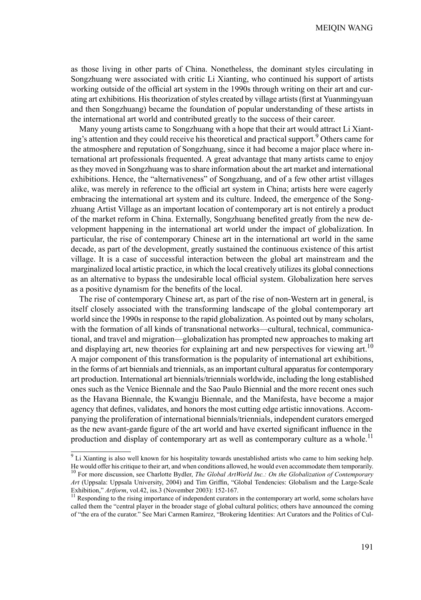as those living in other parts of China. Nonetheless, the dominant styles circulating in Songzhuang were associated with critic Li Xianting, who continued his support of artists working outside of the official art system in the 1990s through writing on their art and curating art exhibitions. His theorization of styles created by village artists (first at Yuanmingyuan and then Songzhuang) became the foundation of popular understanding of these artists in the international art world and contributed greatly to the success of their career.

Many young artists came to Songzhuang with a hope that their art would attract Li Xianting's attention and they could receive his theoretical and practical support.<sup>9</sup> Others came for the atmosphere and reputation of Songzhuang, since it had become a major place where international art professionals frequented. A great advantage that many artists came to enjoy asthey moved inSongzhuang wasto share information about the art market and international exhibitions. Hence, the "alternativeness" of Songzhuang, and of a few other artist villages alike, was merely in reference to the official art system in China; artists here were eagerly embracing the international art system and its culture. Indeed, the emergence of the Songzhuang Artist Village as an important location of contemporary art is not entirely a product of the market reform in China. Externally, Songzhuang benefited greatly from the new development happening in the international art world under the impact of globalization. In particular, the rise of contemporary Chinese art in the international art world in the same decade, as part of the development, greatly sustained the continuous existence of this artist village. It is a case of successful interaction between the global art mainstream and the marginalized local artistic practice, in which the local creatively utilizesits global connections as an alternative to bypass the undesirable local official system. Globalization here serves as a positive dynamism for the benefits of the local.

The rise of contemporary Chinese art, as part of the rise of non-Western art in general, is itself closely associated with the transforming landscape of the global contemporary art world since the 1990s in response to the rapid globalization. As pointed out by many scholars, with the formation of all kinds of transnational networks—cultural, technical, communicational, and travel and migration—globalization has prompted new approaches to making art and displaying art, new theories for explaining art and new perspectives for viewing art.<sup>10</sup> A major component of this transformation is the popularity of international art exhibitions, in the forms of art biennials and triennials, as an important cultural apparatusfor contemporary art production. International art biennials/triennials worldwide, including the long established ones such as the Venice Biennale and the Sao Paulo Biennial and the more recent ones such as the Havana Biennale, the Kwangju Biennale, and the Manifesta, have become a major agency that defines, validates, and honors the most cutting edge artistic innovations. Accompanying the proliferation of international biennials/triennials, independent curators emerged as the new avant-garde figure of the art world and have exerted significant influence in the production and display of contemporary art as well as contemporary culture as a whole.<sup>11</sup>

 $9$  Li Xianting is also well known for his hospitality towards unestablished artists who came to him seeking help. He would offer his critique to their art, and when conditions allowed, he would even accommodate them temporarily. <sup>10</sup> For more discussion, see Charlotte Bydler, *The Global ArtWorld Inc.: On the Globalization of Contemporary Art* (Uppsala: Uppsala University, 2004) and Tim Griffin, "Global Tendencies: Globalism and the Large-Scale Exhibition," *Artform*, vol.42, iss.3 (November 2003): 152-167.

<sup>&</sup>lt;sup>11</sup> Responding to the rising importance of independent curators in the contemporary art world, some scholars have called them the "central player in the broader stage of global cultural politics; others have announced the coming of "the era of the curator." See Mari Carmen Ramírez, "Brokering Identities: Art Curators and the Politics of Cul-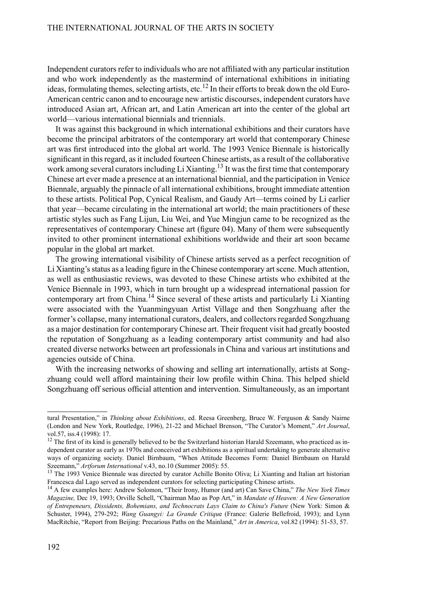Independent curators refer to individuals who are not affiliated with any particular institution and who work independently as the mastermind of international exhibitions in initiating ideas, formulating themes, selecting artists, etc.<sup>12</sup> In their efforts to break down the old Euro-American centric canon and to encourage new artistic discourses, independent curators have introduced Asian art, African art, and Latin American art into the center of the global art world—various international biennials and triennials.

It was against this background in which international exhibitions and their curators have become the principal arbitrators of the contemporary art world that contemporary Chinese art was first introduced into the global art world. The 1993 Venice Biennale is historically significant in this regard, as it included fourteen Chinese artists, as a result of the collaborative work among several curators including Li Xianting.<sup>13</sup> It was the first time that contemporary Chinese art ever made a presence at an international biennial, and the participation in Venice Biennale, arguably the pinnacle of all international exhibitions, brought immediate attention to these artists. Political Pop, Cynical Realism, and Gaudy Art—terms coined by Li earlier that year—became circulating in the international art world; the main practitioners of these artistic styles such as Fang Lijun, Liu Wei, and Yue Mingjun came to be recognized as the representatives of contemporary Chinese art (figure 04). Many of them were subsequently invited to other prominent international exhibitions worldwide and their art soon became popular in the global art market.

The growing international visibility of Chinese artists served as a perfect recognition of Li Xianting's status as a leading figure in the Chinese contemporary art scene. Much attention, as well as enthusiastic reviews, was devoted to these Chinese artists who exhibited at the Venice Biennale in 1993, which in turn brought up a widespread international passion for contemporary art from China.<sup>14</sup> Since several of these artists and particularly Li Xianting were associated with the Yuanmingyuan Artist Village and then Songzhuang after the former's collapse, many international curators, dealers, and collectors regarded Songzhuang as a major destination for contemporary Chinese art. Their frequent visit had greatly boosted the reputation of Songzhuang as a leading contemporary artist community and had also created diverse networks between art professionals in China and various art institutions and agencies outside of China.

With the increasing networks of showing and selling art internationally, artists at Songzhuang could well afford maintaining their low profile within China. This helped shield Songzhuang off serious official attention and intervention. Simultaneously, as an important

tural Presentation," in *Thinking about Exhibitions*, ed. Reesa Greenberg, Bruce W. Ferguson & Sandy Nairne (London and New York, Routledge, 1996), 21-22 and Michael Brenson, "The Curator's Moment," *Art Journal*, vol.57, iss.4 (1998): 17.

 $12$  The first of its kind is generally believed to be the Switzerland historian Harald Szeemann, who practiced as independent curator as early as 1970s and conceived art exhibitions as a spiritual undertaking to generate alternative ways of organizing society. Daniel Birnbaum, "When Attitude Becomes Form: Daniel Birnbaum on Harald Szeemann," *Artforum International* v.43, no.10 (Summer 2005): 55.

<sup>&</sup>lt;sup>13</sup> The 1993 Venice Biennale was directed by curator Achille Bonito Oliva; Li Xianting and Italian art historian Francesca dal Lago served as independent curators for selecting participating Chinese artists.

<sup>14</sup> A few examples here: Andrew Solomon, "Their Irony, Humor (and art) Can Save China," *The New York Times Magazine,* Dec 19, 1993; Orville Schell, "Chairman Mao as Pop Art," in *Mandate of Heaven: A New Generation of Entrepeneurs, Dissidents, Bohemians, and Technocrats Lays Claim to China's Future* (New York: Simon & Schuster, 1994), 279-292; *Wang Guangyi: La Grande Critiqu*e (France: Galerie Bellefroid, 1993); and Lynn MacRitchie, "Report from Beijing: Precarious Paths on the Mainland," *Art in America*, vol.82 (1994): 51-53, 57.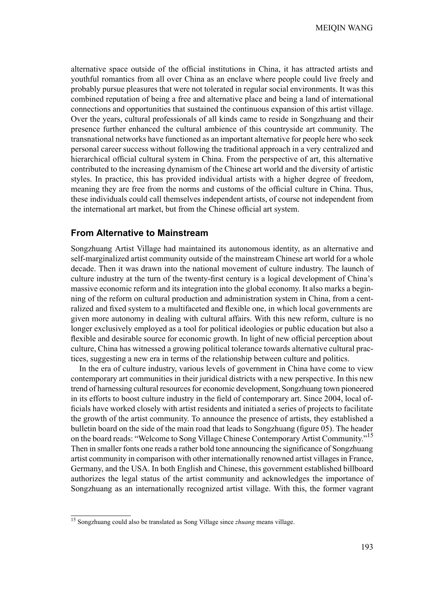alternative space outside of the official institutions in China, it has attracted artists and youthful romantics from all over China as an enclave where people could live freely and probably pursue pleasures that were not tolerated in regular social environments. It was this combined reputation of being a free and alternative place and being a land of international connections and opportunities that sustained the continuous expansion of this artist village. Over the years, cultural professionals of all kinds came to reside in Songzhuang and their presence further enhanced the cultural ambience of this countryside art community. The transnational networks have functioned as an important alternative for people here who seek personal career success without following the traditional approach in a very centralized and hierarchical official cultural system in China. From the perspective of art, this alternative contributed to the increasing dynamism of the Chinese art world and the diversity of artistic styles. In practice, this has provided individual artists with a higher degree of freedom, meaning they are free from the norms and customs of the official culture in China. Thus, these individuals could call themselves independent artists, of course not independent from the international art market, but from the Chinese official art system.

#### **From Alternative to Mainstream**

Songzhuang Artist Village had maintained its autonomous identity, as an alternative and self-marginalized artist community outside of the mainstream Chinese art world for a whole decade. Then it was drawn into the national movement of culture industry. The launch of culture industry at the turn of the twenty-first century is a logical development of China's massive economic reform and its integration into the global economy. It also marks a beginning of the reform on cultural production and administration system in China, from a centralized and fixed system to a multifaceted and flexible one, in which local governments are given more autonomy in dealing with cultural affairs. With this new reform, culture is no longer exclusively employed as a tool for political ideologies or public education but also a flexible and desirable source for economic growth. In light of new official perception about culture, China has witnessed a growing political tolerance towards alternative cultural practices, suggesting a new era in terms of the relationship between culture and politics.

In the era of culture industry, various levels of government in China have come to view contemporary art communities in their juridical districts with a new perspective. In this new trend of harnessing cultural resources for economic development, Songzhuang town pioneered in its efforts to boost culture industry in the field of contemporary art. Since 2004, local officials have worked closely with artist residents and initiated a series of projects to facilitate the growth of the artist community. To announce the presence of artists, they established a bulletin board on the side of the main road that leads to Songzhuang (figure 05). The header on the board reads: "Welcome to Song Village Chinese Contemporary Artist Community."<sup>15</sup> Then in smaller fonts one reads a rather bold tone announcing the significance of Songzhuang artist community in comparison with other internationally renowned artist villages in France, Germany, and the USA. In both English and Chinese, this government established billboard authorizes the legal status of the artist community and acknowledges the importance of Songzhuang as an internationally recognized artist village. With this, the former vagrant

<sup>15</sup> Songzhuang could also be translated as Song Village since *zhuang* means village.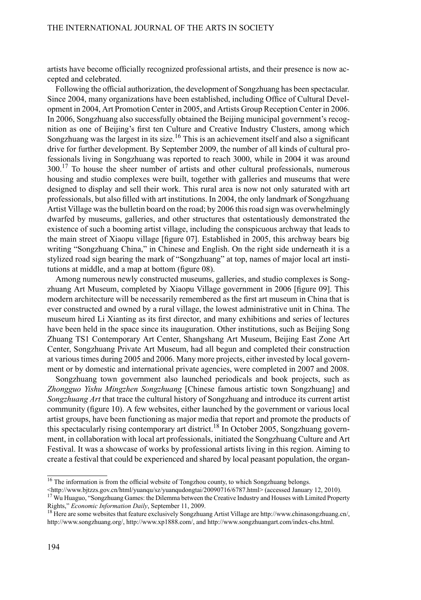artists have become officially recognized professional artists, and their presence is now accepted and celebrated.

Following the official authorization, the development of Songzhuang has been spectacular. Since 2004, many organizations have been established, including Office of Cultural Development in 2004, Art Promotion Center in 2005, and Artists Group Reception Center in 2006. In 2006, Songzhuang also successfully obtained the Beijing municipal government's recognition as one of Beijing's first ten Culture and Creative Industry Clusters, among which Songzhuang was the largest in its size.<sup>16</sup> This is an achievement itself and also a significant drive for further development. By September 2009, the number of all kinds of cultural professionals living in Songzhuang was reported to reach 3000, while in 2004 it was around  $300<sup>17</sup>$  To house the sheer number of artists and other cultural professionals, numerous housing and studio complexes were built, together with galleries and museums that were designed to display and sell their work. This rural area is now not only saturated with art professionals, but also filled with art institutions. In 2004, the only landmark of Songzhuang Artist Village wasthe bulletin board on the road; by 2006 thisroad sign was overwhelmingly dwarfed by museums, galleries, and other structures that ostentatiously demonstrated the existence of such a booming artist village, including the conspicuous archway that leads to the main street of Xiaopu village [figure 07]. Established in 2005, this archway bears big writing "Songzhuang China," in Chinese and English. On the right side underneath it is a stylized road sign bearing the mark of "Songzhuang" at top, names of major local art institutions at middle, and a map at bottom (figure 08).

Among numerous newly constructed museums, galleries, and studio complexes is Songzhuang Art Museum, completed by Xiaopu Village government in 2006 [figure 09]. This modern architecture will be necessarily remembered as the first art museum in China that is ever constructed and owned by a rural village, the lowest administrative unit in China. The museum hired Li Xianting as its first director, and many exhibitions and series of lectures have been held in the space since its inauguration. Other institutions, such as Beijing Song Zhuang TS1 Contemporary Art Center, Shangshang Art Museum, Beijing East Zone Art Center, Songzhuang Private Art Museum, had all begun and completed their construction at varioustimes during 2005 and 2006. Many more projects, either invested by local government or by domestic and international private agencies, were completed in 2007 and 2008.

Songzhuang town government also launched periodicals and book projects, such as *Zhongguo Yishu Mingzhen Songzhuang* [Chinese famous artistic town Songzhuang] and *Songzhuang Art* that trace the cultural history of Songzhuang and introduce its current artist community (figure 10). A few websites, either launched by the government or various local artist groups, have been functioning as major media that report and promote the products of this spectacularly rising contemporary art district.<sup>18</sup> In October 2005, Songzhuang government, in collaboration with local art professionals, initiated the Songzhuang Culture and Art Festival. It was a showcase of works by professional artists living in this region. Aiming to create a festival that could be experienced and shared by local peasant population, the organ-

<sup>&</sup>lt;sup>16</sup> The information is from the official website of Tongzhou county, to which Songzhuang belongs.

 $\lt$ http://www.bjtzzs.gov.cn/html/yuanqu/sz/yuanqudongtai/20090716/6787.html> (accessed January 12, 2010).

<sup>&</sup>lt;sup>17</sup> Wu Huaguo, "Songzhuang Games: the Dilemma between the Creative Industry and Houses with Limited Property Rights," *Economic Information Daily*, September 11, 2009.

<sup>18</sup> Here are some websites that feature exclusively Songzhuang Artist Village are http://www.chinasongzhuang.cn/, http://www.songzhuang.org/, http://www.xp1888.com/, and http://www.songzhuangart.com/index-chs.html.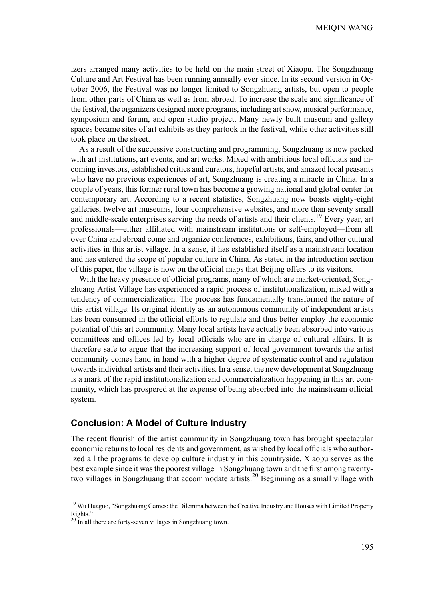izers arranged many activities to be held on the main street of Xiaopu. The Songzhuang Culture and Art Festival has been running annually ever since. In its second version in October 2006, the Festival was no longer limited to Songzhuang artists, but open to people from other parts of China as well as from abroad. To increase the scale and significance of the festival, the organizers designed more programs, including artshow, musical performance, symposium and forum, and open studio project. Many newly built museum and gallery spaces became sites of art exhibits as they partook in the festival, while other activities still took place on the street.

As a result of the successive constructing and programming, Songzhuang is now packed with art institutions, art events, and art works. Mixed with ambitious local officials and incoming investors, established critics and curators, hopeful artists, and amazed local peasants who have no previous experiences of art, Songzhuang is creating a miracle in China. In a couple of years, this former rural town has become a growing national and global center for contemporary art. According to a recent statistics, Songzhuang now boasts eighty-eight galleries, twelve art museums, four comprehensive websites, and more than seventy small and middle-scale enterprises serving the needs of artists and their clients.<sup>19</sup> Every year, art professionals—either affiliated with mainstream institutions or self-employed—from all over China and abroad come and organize conferences, exhibitions, fairs, and other cultural activities in this artist village. In a sense, it has established itself as a mainstream location and has entered the scope of popular culture in China. As stated in the introduction section of this paper, the village is now on the official maps that Beijing offers to its visitors.

With the heavy presence of official programs, many of which are market-oriented, Songzhuang Artist Village has experienced a rapid process of institutionalization, mixed with a tendency of commercialization. The process has fundamentally transformed the nature of this artist village. Its original identity as an autonomous community of independent artists has been consumed in the official efforts to regulate and thus better employ the economic potential of this art community. Many local artists have actually been absorbed into various committees and offices led by local officials who are in charge of cultural affairs. It is therefore safe to argue that the increasing support of local government towards the artist community comes hand in hand with a higher degree of systematic control and regulation towardsindividual artists and their activities. In a sense, the new development atSongzhuang is a mark of the rapid institutionalization and commercialization happening in this art community, which has prospered at the expense of being absorbed into the mainstream official system.

#### **Conclusion: A Model of Culture Industry**

The recent flourish of the artist community in Songzhuang town has brought spectacular economic returns to local residents and government, as wished by local officials who authorized all the programs to develop culture industry in this countryside. Xiaopu serves as the best example since it was the poorest village in Songzhuang town and the first among twentytwo villages in Songzhuang that accommodate artists.<sup>20</sup> Beginning as a small village with

<sup>&</sup>lt;sup>19</sup> Wu Huaguo, "Songzhuang Games: the Dilemma between the Creative Industry and Houses with Limited Property Rights."

 $20$  In all there are forty-seven villages in Songzhuang town.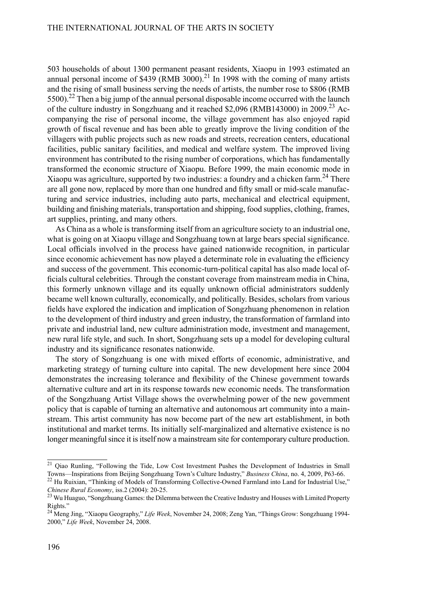503 households of about 1300 permanent peasant residents, Xiaopu in 1993 estimated an annual personal income of  $$439$  (RMB 3000).<sup>21</sup> In 1998 with the coming of many artists and the rising of small business serving the needs of artists, the number rose to \$806 (RMB  $5500$ .<sup>22</sup> Then a big jump of the annual personal disposable income occurred with the launch of the culture industry in Songzhuang and it reached \$2,096 (RMB143000) in 2009.<sup>23</sup> Accompanying the rise of personal income, the village government has also enjoyed rapid growth of fiscal revenue and has been able to greatly improve the living condition of the villagers with public projects such as new roads and streets, recreation centers, educational facilities, public sanitary facilities, and medical and welfare system. The improved living environment has contributed to the rising number of corporations, which has fundamentally transformed the economic structure of Xiaopu. Before 1999, the main economic mode in Xiaopu was agriculture, supported by two industries: a foundry and a chicken farm.<sup>24</sup> There are all gone now, replaced by more than one hundred and fifty small or mid-scale manufacturing and service industries, including auto parts, mechanical and electrical equipment, building and finishing materials, transportation and shipping, food supplies, clothing, frames, art supplies, printing, and many others.

As China as a whole is transforming itself from an agriculture society to an industrial one, what is going on at Xiaopu village and Songzhuang town at large bears special significance. Local officials involved in the process have gained nationwide recognition, in particular since economic achievement has now played a determinate role in evaluating the efficiency and success of the government. This economic-turn-political capital has also made local officials cultural celebrities. Through the constant coverage from mainstream media in China, this formerly unknown village and its equally unknown official administrators suddenly became well known culturally, economically, and politically. Besides, scholars from various fields have explored the indication and implication of Songzhuang phenomenon in relation to the development of third industry and green industry, the transformation of farmland into private and industrial land, new culture administration mode, investment and management, new rural life style, and such. In short, Songzhuang sets up a model for developing cultural industry and its significance resonates nationwide.

The story of Songzhuang is one with mixed efforts of economic, administrative, and marketing strategy of turning culture into capital. The new development here since 2004 demonstrates the increasing tolerance and flexibility of the Chinese government towards alternative culture and art in its response towards new economic needs. The transformation of the Songzhuang Artist Village shows the overwhelming power of the new government policy that is capable of turning an alternative and autonomous art community into a mainstream. This artist community has now become part of the new art establishment, in both institutional and market terms. Its initially self-marginalized and alternative existence is no longer meaningful since it is itself now a mainstream site for contemporary culture production.

<sup>&</sup>lt;sup>21</sup> Oiao Runling, "Following the Tide, Low Cost Investment Pushes the Development of Industries in Small Towns—Inspirations from Beijing Songzhuang Town's Culture Industry," *Business China*, no. 4, 2009, P63-66.

<sup>&</sup>lt;sup>22</sup> Hu Ruixian, "Thinking of Models of Transforming Collective-Owned Farmland into Land for Industrial Use," *Chinese Rural Economy*, iss.2 (2004): 20-25.

<sup>&</sup>lt;sup>23</sup> Wu Huaguo, "Songzhuang Games: the Dilemma between the Creative Industry and Houses with Limited Property Rights."

<sup>24</sup> Meng Jing, "Xiaopu Geography," *Life Week*, November 24, 2008; Zeng Yan, "Things Grow: Songzhuang 1994- 2000," *Life Week*, November 24, 2008.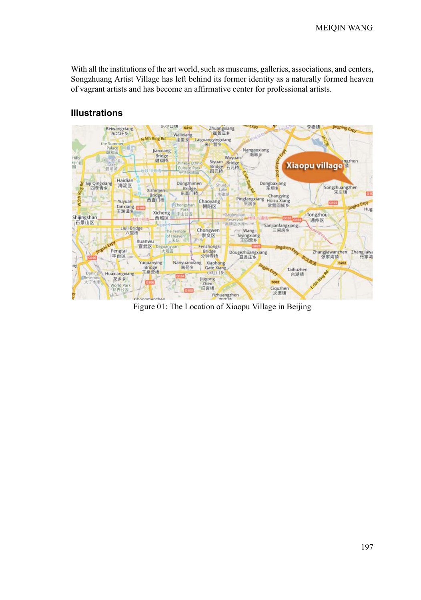With all the institutions of the art world, such as museums, galleries, associations, and centers, Songzhuang Artist Village has left behind its former identity as a naturally formed heaven of vagrant artists and has become an affirmative center for professional artists.



## **Illustrations**

Figure 01: The Location of Xiaopu Village in Beijing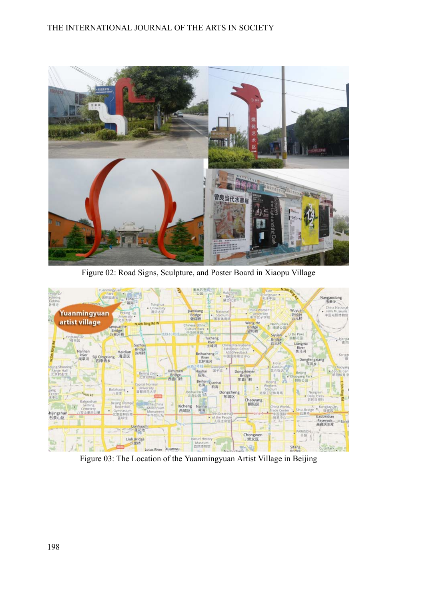

Figure 02: Road Signs, Sculpture, and Poster Board in Xiaopu Village



Figure 03: The Location of the Yuanmingyuan Artist Village in Beijing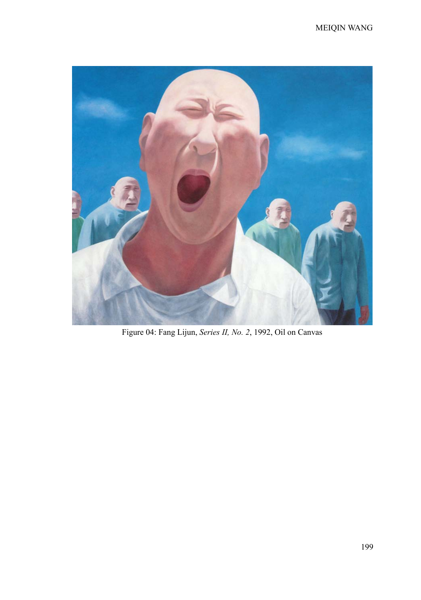

Figure 04: Fang Lijun, *Series II, No. 2*, 1992, Oil on Canvas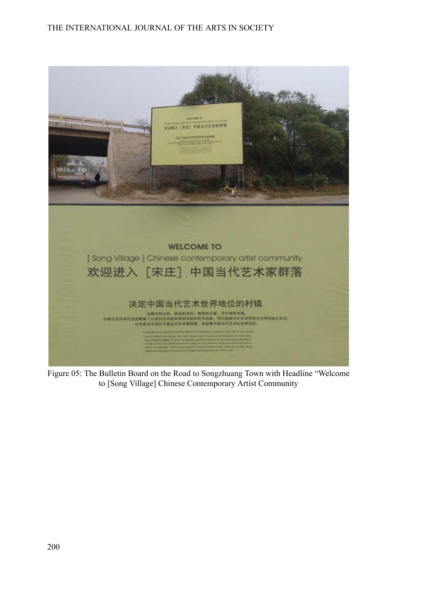

Figure 05: The Bulletin Board on the Road to Songzhuang Town with Headline "Welcome to [Song Village] Chinese Contemporary Artist Community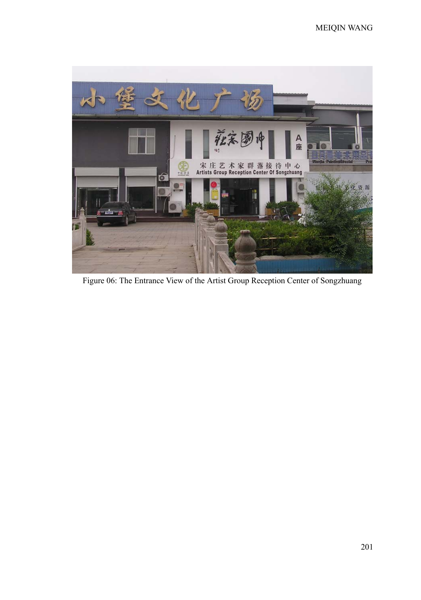

Figure 06: The Entrance View of the Artist Group Reception Center of Songzhuang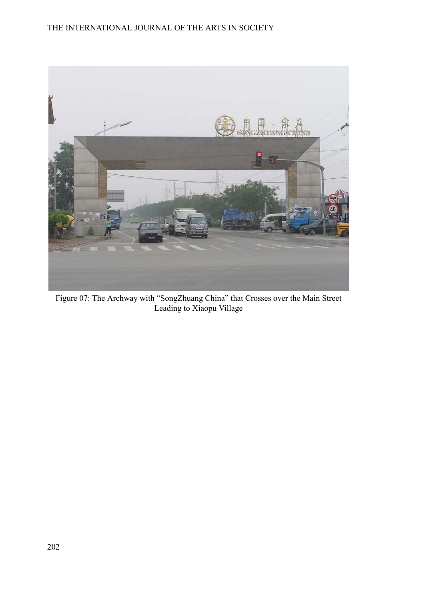

Figure 07: The Archway with "SongZhuang China" that Crosses over the Main Street Leading to Xiaopu Village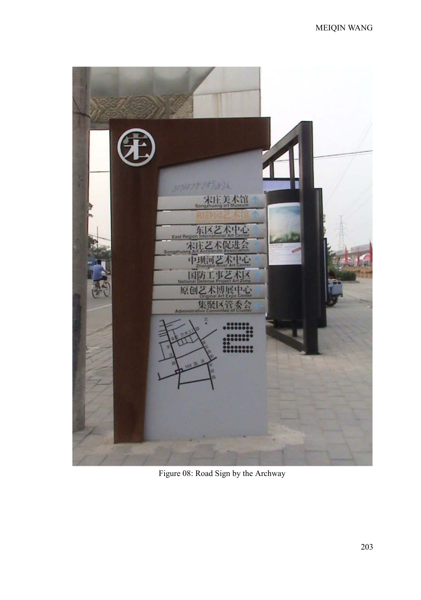

Figure 08: Road Sign by the Archway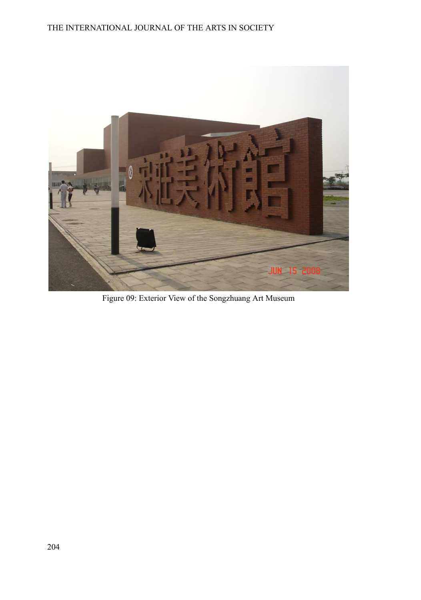

Figure 09: Exterior View of the Songzhuang Art Museum